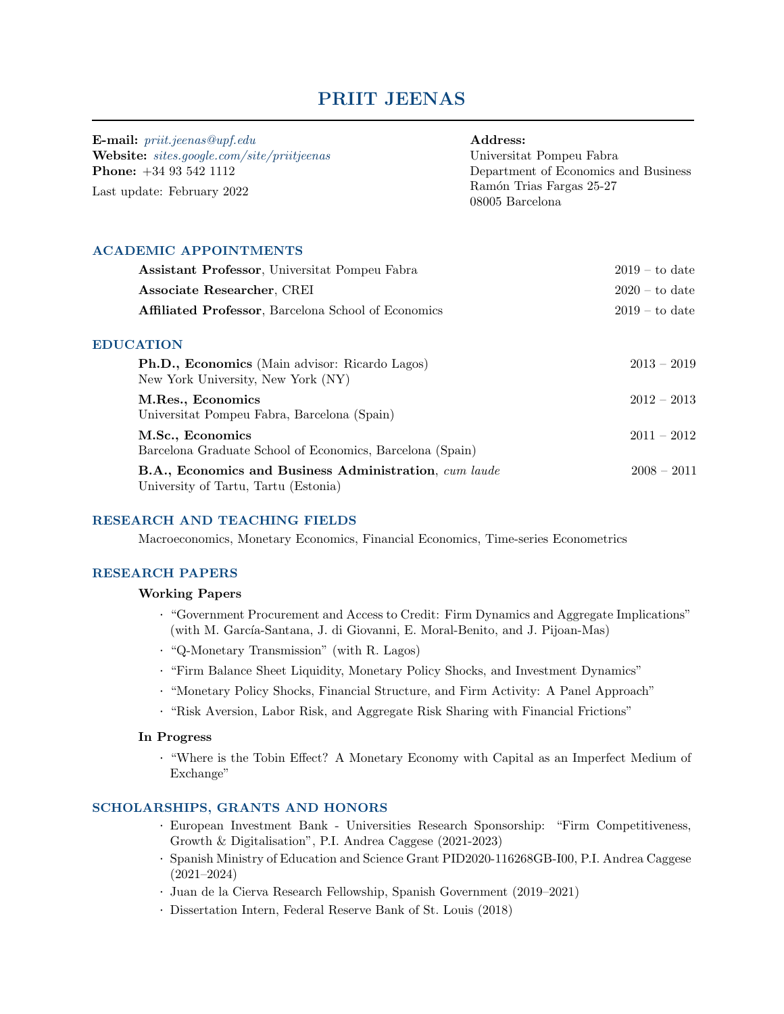# PRIIT JEENAS

| <b>E-mail:</b> $\text{pr}$ <i>iit.jeenas@upf.edu</i> | Address:                                    |  |
|------------------------------------------------------|---------------------------------------------|--|
| <b>Website:</b> sites.google.com/site/priitjeenas    | Universitat Pompeu Fabra                    |  |
| <b>Phone:</b> $+34$ 93 542 1112                      | Department of Economics and Business        |  |
| Last update: February 2022                           | Ramón Trias Fargas 25-27<br>08005 Barcelona |  |

# ACADEMIC APPOINTMENTS

| Assistant Professor, Universitat Pompeu Fabra                                                          | $2019 -$ to date |
|--------------------------------------------------------------------------------------------------------|------------------|
| Associate Researcher, CREI                                                                             | $2020 -$ to date |
| <b>Affiliated Professor</b> , Barcelona School of Economics                                            | $2019 -$ to date |
| <b>EDUCATION</b>                                                                                       |                  |
| <b>Ph.D., Economics</b> (Main advisor: Ricardo Lagos)<br>New York University, New York (NY)            | $2013 - 2019$    |
| M.Res., Economics<br>Universitat Pompeu Fabra, Barcelona (Spain)                                       | $2012 - 2013$    |
| M.Sc., Economics<br>Barcelona Graduate School of Economics, Barcelona (Spain)                          | $2011 - 2012$    |
| <b>B.A., Economics and Business Administration</b> , cum laude<br>University of Tartu, Tartu (Estonia) | $2008 - 2011$    |

## RESEARCH AND TEACHING FIELDS

Macroeconomics, Monetary Economics, Financial Economics, Time-series Econometrics

## RESEARCH PAPERS

## Working Papers

- · "Government Procurement and Access to Credit: Firm Dynamics and Aggregate Implications" (with M. García-Santana, J. di Giovanni, E. Moral-Benito, and J. Pijoan-Mas)
- · "Q-Monetary Transmission" (with R. Lagos)
- · "Firm Balance Sheet Liquidity, Monetary Policy Shocks, and Investment Dynamics"
- · "Monetary Policy Shocks, Financial Structure, and Firm Activity: A Panel Approach"
- · "Risk Aversion, Labor Risk, and Aggregate Risk Sharing with Financial Frictions"

## In Progress

· "Where is the Tobin Effect? A Monetary Economy with Capital as an Imperfect Medium of Exchange"

#### SCHOLARSHIPS, GRANTS AND HONORS

- · European Investment Bank Universities Research Sponsorship: "Firm Competitiveness, Growth & Digitalisation", P.I. Andrea Caggese (2021-2023)
- · Spanish Ministry of Education and Science Grant PID2020-116268GB-I00, P.I. Andrea Caggese (2021–2024)
- · Juan de la Cierva Research Fellowship, Spanish Government (2019–2021)
- · Dissertation Intern, Federal Reserve Bank of St. Louis (2018)